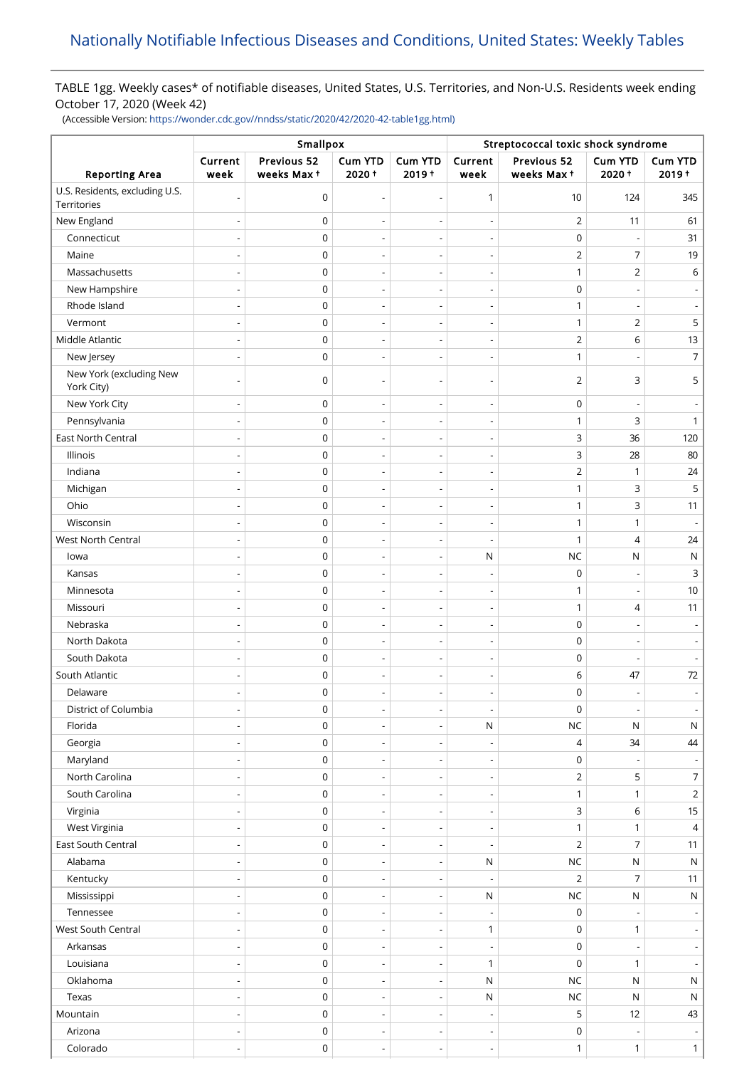# TABLE 1gg. Weekly cases\* of notifiable diseases, United States, U.S. Territories, and Non-U.S. Residents week ending October 17, 2020 (Week 42)

(Accessible Version: [https://wonder.cdc.gov//nndss/static/2020/42/2020-42-table1gg.html\)](https://wonder.cdc.gov//nndss/static/2020/42/2020-42-table1gg.html)

|                                               | Smallpox                 |                           |                          |                          | Streptococcal toxic shock syndrome |                           |                          |                     |  |
|-----------------------------------------------|--------------------------|---------------------------|--------------------------|--------------------------|------------------------------------|---------------------------|--------------------------|---------------------|--|
| <b>Reporting Area</b>                         | Current<br>week          | Previous 52<br>weeks Max+ | Cum YTD<br>2020+         | Cum YTD<br>$2019 +$      | Current<br>week                    | Previous 52<br>weeks Max+ | Cum YTD<br>$2020 +$      | Cum YTD<br>$2019 +$ |  |
| U.S. Residents, excluding U.S.<br>Territories | $\overline{\phantom{a}}$ | $\mathsf 0$               | $\overline{\phantom{a}}$ | $\overline{\phantom{a}}$ | 1                                  | 10                        | 124                      | 345                 |  |
| New England                                   | $\overline{\phantom{a}}$ | $\mathsf 0$               |                          | $\overline{\phantom{a}}$ | $\overline{\phantom{m}}$           | $\overline{2}$            | 11                       | 61                  |  |
| Connecticut                                   |                          | $\mathsf 0$               |                          | ÷,                       | ÷                                  | $\mathsf 0$               |                          | 31                  |  |
| Maine                                         | $\overline{\phantom{a}}$ | 0                         | $\overline{\phantom{a}}$ | $\overline{\phantom{a}}$ | $\overline{\phantom{m}}$           | $\overline{2}$            | 7                        | 19                  |  |
| Massachusetts                                 |                          | 0                         | L.                       | $\overline{a}$           | Ĭ.                                 | $\mathbf{1}$              | $\overline{2}$           | 6                   |  |
| New Hampshire                                 |                          | $\mathsf 0$               | $\overline{\phantom{a}}$ | $\overline{\phantom{a}}$ | $\overline{\phantom{0}}$           | 0                         |                          |                     |  |
| Rhode Island                                  | $\overline{\phantom{a}}$ | $\mathsf 0$               | $\overline{\phantom{a}}$ | $\overline{\phantom{a}}$ | $\overline{a}$                     | $\mathbf{1}$              |                          |                     |  |
| Vermont                                       | $\overline{\phantom{0}}$ | $\mathsf 0$               | $\overline{\phantom{a}}$ | $\overline{\phantom{a}}$ | $\overline{\phantom{m}}$           | $\mathbf{1}$              | $\overline{2}$           | 5                   |  |
| Middle Atlantic                               | $\overline{\phantom{a}}$ | $\mathsf 0$               | $\overline{\phantom{a}}$ | $\overline{\phantom{a}}$ | $\overline{a}$                     | $\overline{2}$            | 6                        | 13                  |  |
| New Jersey                                    |                          | $\mathsf 0$               |                          | $\overline{a}$           | $\overline{a}$                     | $\mathbf{1}$              |                          | 7                   |  |
| New York (excluding New<br>York City)         |                          | $\mathbf 0$               | $\overline{\phantom{a}}$ | ÷                        | ÷                                  | $\overline{2}$            | 3                        | 5                   |  |
| New York City                                 | $\overline{\phantom{a}}$ | $\mathsf 0$               | $\overline{\phantom{a}}$ | $\overline{\phantom{a}}$ | $\overline{a}$                     | $\mathbf 0$               |                          |                     |  |
| Pennsylvania                                  |                          | $\mathsf 0$               |                          | $\overline{\phantom{a}}$ | Ĭ.                                 | $\mathbf{1}$              | 3                        | 1                   |  |
| <b>East North Central</b>                     | $\overline{\phantom{a}}$ | $\mathsf 0$               | $\overline{\phantom{a}}$ | $\overline{\phantom{a}}$ | $\overline{\phantom{a}}$           | 3                         | 36                       | 120                 |  |
| Illinois                                      |                          | 0                         | $\overline{\phantom{a}}$ | $\overline{a}$           | $\overline{a}$                     | 3                         | 28                       | 80                  |  |
| Indiana                                       |                          | $\mathsf 0$               | $\overline{\phantom{a}}$ | $\overline{\phantom{a}}$ | $\overline{\phantom{0}}$           | $\overline{2}$            | 1                        | 24                  |  |
| Michigan                                      |                          | $\mathsf 0$               | $\overline{\phantom{a}}$ | $\overline{a}$           | $\overline{a}$                     | $\mathbf{1}$              | 3                        | 5                   |  |
| Ohio                                          | $\overline{\phantom{0}}$ | $\mathsf 0$               | $\overline{\phantom{a}}$ | $\overline{\phantom{a}}$ | $\overline{\phantom{m}}$           | $\mathbf{1}$              | 3                        | 11                  |  |
| Wisconsin                                     | $\overline{\phantom{a}}$ | 0                         | $\overline{\phantom{a}}$ | $\overline{\phantom{a}}$ | $\overline{\phantom{a}}$           | $\mathbf{1}$              | 1                        |                     |  |
| <b>West North Central</b>                     | $\overline{\phantom{a}}$ | $\mathsf 0$               | $\overline{\phantom{a}}$ | $\overline{\phantom{a}}$ | $\overline{\phantom{a}}$           | $\mathbf{1}$              | $\overline{4}$           | 24                  |  |
| lowa                                          | $\overline{\phantom{a}}$ | 0                         | $\overline{\phantom{a}}$ | $\overline{\phantom{a}}$ | ${\sf N}$                          | <b>NC</b>                 | ${\sf N}$                | N                   |  |
| Kansas                                        |                          | 0                         | ÷,                       | $\overline{a}$           | $\overline{\phantom{a}}$           | $\mathbf 0$               |                          | 3                   |  |
| Minnesota                                     | $\overline{\phantom{a}}$ | $\mathsf 0$               | $\overline{\phantom{a}}$ | $\overline{\phantom{a}}$ | $\overline{\phantom{a}}$           | $\mathbf{1}$              | $\overline{a}$           | 10                  |  |
| Missouri                                      |                          | $\mathsf 0$               |                          | Ĭ.                       | Ĭ.                                 | $\mathbf{1}$              | 4                        | 11                  |  |
| Nebraska                                      |                          | $\mathsf 0$               | $\overline{\phantom{a}}$ | $\overline{\phantom{a}}$ | $\overline{\phantom{m}}$           | $\mathbf 0$               |                          |                     |  |
| North Dakota                                  |                          | $\mathsf 0$               |                          | $\overline{a}$           | Ĭ.                                 | $\mathbf 0$               |                          |                     |  |
| South Dakota                                  | $\overline{\phantom{a}}$ | 0                         | $\overline{\phantom{a}}$ | $\overline{\phantom{a}}$ | $\overline{\phantom{m}}$           | 0                         | $\overline{a}$           |                     |  |
| South Atlantic                                |                          | 0                         |                          |                          |                                    | 6                         | 47                       | $72\,$              |  |
| Delaware                                      |                          | 0                         | $\overline{\phantom{a}}$ | $\overline{a}$           | $\overline{a}$                     | $\mathbf 0$               | $\overline{a}$           |                     |  |
| District of Columbia                          |                          | 0                         | $\overline{\phantom{a}}$ |                          | $\overline{\phantom{a}}$           | 0                         | $\overline{\phantom{a}}$ |                     |  |
| Florida                                       |                          | 0                         | $\overline{\phantom{a}}$ | $\overline{\phantom{a}}$ | $\mathsf{N}$                       | $NC$                      | N                        | N                   |  |
| Georgia                                       | $\overline{\phantom{a}}$ | $\mathsf 0$               | $\overline{\phantom{a}}$ | $\overline{\phantom{a}}$ | $\overline{\phantom{a}}$           | 4                         | 34                       | 44                  |  |
| Maryland                                      |                          | 0                         |                          | $\overline{\phantom{a}}$ | $\overline{\phantom{a}}$           | $\mathbf 0$               |                          |                     |  |
| North Carolina                                | $\overline{\phantom{a}}$ | 0                         | $\overline{\phantom{a}}$ | $\overline{\phantom{a}}$ | $\overline{a}$                     | $\overline{2}$            | 5                        | $\overline{7}$      |  |
| South Carolina                                |                          | $\mathsf 0$               |                          | $\overline{\phantom{a}}$ | $\overline{\phantom{0}}$           | $\mathbf{1}$              | $\mathbf{1}$             | $\overline{2}$      |  |
| Virginia                                      | $\overline{\phantom{a}}$ | $\mathsf 0$               | $\overline{\phantom{a}}$ | $\overline{\phantom{a}}$ | $\overline{\phantom{m}}$           | 3                         | 6                        | 15                  |  |
| West Virginia                                 |                          | $\mathsf 0$               |                          | $\overline{\phantom{a}}$ | $\overline{\phantom{a}}$           | $\mathbf{1}$              | $\mathbf{1}$             | 4                   |  |
| East South Central                            |                          | 0                         | $\overline{\phantom{a}}$ | $\overline{\phantom{a}}$ | $\overline{\phantom{a}}$           | $\mathbf 2$               | $\overline{7}$           | 11                  |  |
| Alabama                                       |                          | $\mathsf 0$               | $\overline{\phantom{a}}$ | $\overline{a}$           | ${\sf N}$                          | <b>NC</b>                 | ${\sf N}$                | $\mathsf{N}$        |  |
| Kentucky                                      | $\overline{\phantom{0}}$ | 0                         | $\overline{\phantom{a}}$ | $\overline{\phantom{a}}$ | $\overline{\phantom{a}}$           | $\overline{2}$            | 7                        | 11                  |  |
| Mississippi                                   |                          | 0                         | $\overline{\phantom{a}}$ | $\overline{\phantom{a}}$ | ${\sf N}$                          | <b>NC</b>                 | ${\sf N}$                | ${\sf N}$           |  |
| Tennessee                                     |                          | 0                         | $\overline{\phantom{a}}$ | $\overline{\phantom{a}}$ | $\overline{\phantom{a}}$           | $\mathsf 0$               |                          |                     |  |
| West South Central                            | $\overline{\phantom{a}}$ | 0                         | $\overline{\phantom{a}}$ | $\overline{\phantom{a}}$ | $\mathbf{1}$                       | $\mathbf 0$               | $\mathbf{1}$             |                     |  |
| Arkansas                                      | $\overline{\phantom{a}}$ | 0                         | $\overline{\phantom{a}}$ | $\overline{\phantom{a}}$ | $\overline{\phantom{a}}$           | $\pmb{0}$                 |                          |                     |  |
| Louisiana                                     | $\overline{\phantom{a}}$ | $\mathsf 0$               | $\overline{\phantom{a}}$ | $\overline{\phantom{a}}$ | $\mathbf{1}$                       | $\mathbf 0$               | $\mathbf{1}$             |                     |  |
| Oklahoma                                      |                          | $\mathsf 0$               |                          | $\overline{a}$           | ${\sf N}$                          | <b>NC</b>                 | N                        | $\mathsf{N}$        |  |
| Texas                                         | $\overline{\phantom{a}}$ | $\mathsf 0$               | $\overline{\phantom{a}}$ | $\overline{\phantom{a}}$ | ${\sf N}$                          | $NC$                      | N                        | ${\sf N}$           |  |
| Mountain                                      |                          | 0                         |                          | $\overline{\phantom{a}}$ | $\overline{\phantom{a}}$           | 5                         | 12                       | 43                  |  |
| Arizona                                       |                          | $\mathsf 0$               | $\overline{\phantom{a}}$ | $\overline{\phantom{a}}$ | $\overline{\phantom{m}}$           | $\mathbf 0$               | $\overline{\phantom{a}}$ |                     |  |
| Colorado                                      |                          | $\mathsf 0$               | $\overline{a}$           | $\overline{a}$           | $\overline{a}$                     | $\mathbf{1}$              | $\mathbf{1}$             | $\mathbf{1}$        |  |
|                                               |                          |                           |                          |                          |                                    |                           |                          |                     |  |